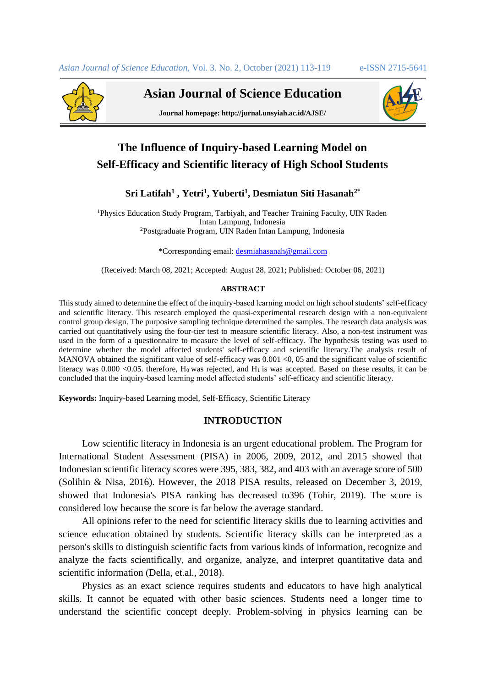

**Asian Journal of Science Education**



**Journal homepage: http://jurnal.unsyiah.ac.id/AJSE/**

# **The Influence of Inquiry-based Learning Model on Self-Efficacy and Scientific literacy of High School Students**

# **Sri Latifah<sup>1</sup> , Yetri<sup>1</sup> , Yuberti<sup>1</sup> , Desmiatun Siti Hasanah2\***

<sup>1</sup>Physics Education Study Program, Tarbiyah, and Teacher Training Faculty, UIN Raden Intan Lampung, Indonesia <sup>2</sup>Postgraduate Program, UIN Raden Intan Lampung, Indonesia

\*Corresponding email[: desmiahasanah@gmail.com](mailto:%20desmiahasanah@gmail.com)

(Received: March 08, 2021; Accepted: August 28, 2021; Published: October 06, 2021)

#### **ABSTRACT**

This study aimed to determine the effect of the inquiry-based learning model on high school students' self-efficacy and scientific literacy. This research employed the quasi-experimental research design with a non-equivalent control group design. The purposive sampling technique determined the samples. The research data analysis was carried out quantitatively using the four-tier test to measure scientific literacy. Also, a non-test instrument was used in the form of a questionnaire to measure the level of self-efficacy. The hypothesis testing was used to determine whether the model affected students' self-efficacy and scientific literacy.The analysis result of MANOVA obtained the significant value of self-efficacy was  $0.001 \le 0.05$  and the significant value of scientific literacy was  $0.000 \le 0.05$ . therefore,  $H_0$  was rejected, and  $H_1$  is was accepted. Based on these results, it can be concluded that the inquiry-based learning model affected students' self-efficacy and scientific literacy.

**Keywords:** Inquiry-based Learning model, Self-Efficacy, Scientific Literacy

# **INTRODUCTION**

Low scientific literacy in Indonesia is an urgent educational problem. The Program for International Student Assessment (PISA) in 2006, 2009, 2012, and 2015 showed that Indonesian scientific literacy scores were 395, 383, 382, and 403 with an average score of 500 (Solihin & Nisa, 2016). However, the 2018 PISA results, released on December 3, 2019, showed that Indonesia's PISA ranking has decreased to396 (Tohir, 2019). The score is considered low because the score is far below the average standard.

All opinions refer to the need for scientific literacy skills due to learning activities and science education obtained by students. Scientific literacy skills can be interpreted as a person's skills to distinguish scientific facts from various kinds of information, recognize and analyze the facts scientifically, and organize, analyze, and interpret quantitative data and scientific information (Della, et.al., 2018).

Physics as an exact science requires students and educators to have high analytical skills. It cannot be equated with other basic sciences. Students need a longer time to understand the scientific concept deeply. Problem-solving in physics learning can be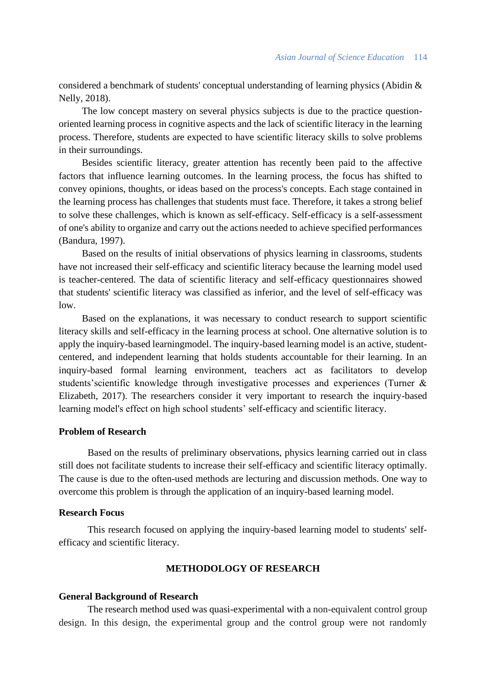considered a benchmark of students' conceptual understanding of learning physics (Abidin & Nelly, 2018).

The low concept mastery on several physics subjects is due to the practice questionoriented learning process in cognitive aspects and the lack of scientific literacy in the learning process. Therefore, students are expected to have scientific literacy skills to solve problems in their surroundings.

Besides scientific literacy, greater attention has recently been paid to the affective factors that influence learning outcomes. In the learning process, the focus has shifted to convey opinions, thoughts, or ideas based on the process's concepts. Each stage contained in the learning process has challenges that students must face. Therefore, it takes a strong belief to solve these challenges, which is known as self-efficacy. Self-efficacy is a self-assessment of one's ability to organize and carry out the actions needed to achieve specified performances (Bandura, 1997).

Based on the results of initial observations of physics learning in classrooms, students have not increased their self-efficacy and scientific literacy because the learning model used is teacher-centered. The data of scientific literacy and self-efficacy questionnaires showed that students' scientific literacy was classified as inferior, and the level of self-efficacy was low.

Based on the explanations, it was necessary to conduct research to support scientific literacy skills and self-efficacy in the learning process at school. One alternative solution is to apply the inquiry-based learningmodel. The inquiry-based learning model is an active, studentcentered, and independent learning that holds students accountable for their learning. In an inquiry-based formal learning environment, teachers act as facilitators to develop students'scientific knowledge through investigative processes and experiences (Turner & Elizabeth, 2017). The researchers consider it very important to research the inquiry-based learning model's effect on high school students' self-efficacy and scientific literacy.

## **Problem of Research**

Based on the results of preliminary observations, physics learning carried out in class still does not facilitate students to increase their self-efficacy and scientific literacy optimally. The cause is due to the often-used methods are lecturing and discussion methods. One way to overcome this problem is through the application of an inquiry-based learning model.

#### **Research Focus**

This research focused on applying the inquiry-based learning model to students' selfefficacy and scientific literacy.

# **METHODOLOGY OF RESEARCH**

#### **General Background of Research**

The research method used was quasi-experimental with a non-equivalent control group design. In this design, the experimental group and the control group were not randomly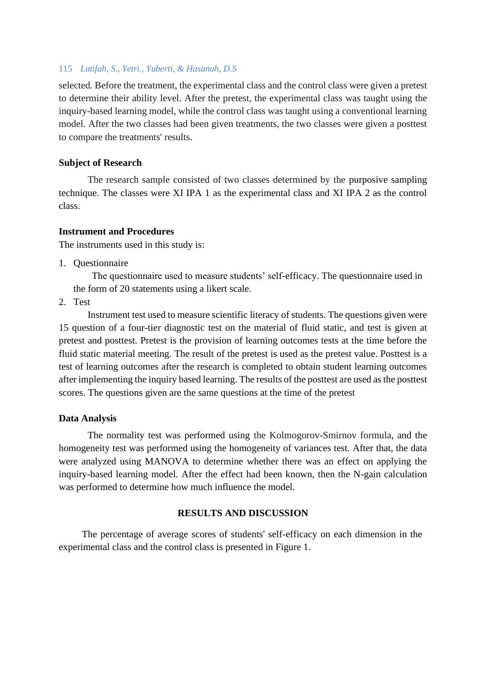## 115 *Latifah, S., Yetri., Yuberti, & Hasanah, D.S*

selected. Before the treatment, the experimental class and the control class were given a pretest to determine their ability level. After the pretest, the experimental class was taught using the inquiry-based learning model, while the control class was taught using a conventional learning model. After the two classes had been given treatments, the two classes were given a posttest to compare the treatments' results.

## **Subject of Research**

The research sample consisted of two classes determined by the purposive sampling technique. The classes were XI IPA 1 as the experimental class and XI IPA 2 as the control class.

## **Instrument and Procedures**

The instruments used in this study is:

1. Questionnaire

The questionnaire used to measure students' self-efficacy. The questionnaire used in the form of 20 statements using a likert scale.

2. Test

Instrument test used to measure scientific literacy of students. The questions given were 15 question of a four-tier diagnostic test on the material of fluid static, and test is given at pretest and posttest. Pretest is the provision of learning outcomes tests at the time before the fluid static material meeting. The result of the pretest is used as the pretest value. Posttest is a test of learning outcomes after the research is completed to obtain student learning outcomes after implementing the inquiry based learning. The results of the posttest are used as the posttest scores. The questions given are the same questions at the time of the pretest

## **Data Analysis**

The normality test was performed using the Kolmogorov-Smirnov formula, and the homogeneity test was performed using the homogeneity of variances test. After that, the data were analyzed using MANOVA to determine whether there was an effect on applying the inquiry-based learning model. After the effect had been known, then the N-gain calculation was performed to determine how much influence the model.

# **RESULTS AND DISCUSSION**

The percentage of average scores of students' self-efficacy on each dimension in the experimental class and the control class is presented in Figure 1.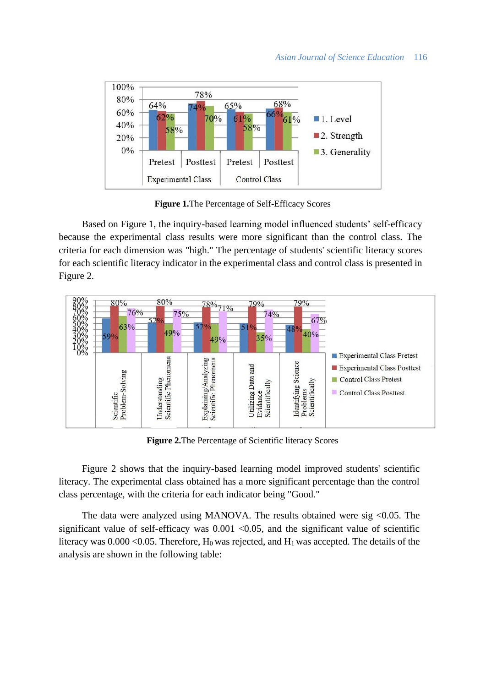## *Asian Journal of Science Education* 116



**Figure 1.**The Percentage of Self-Efficacy Scores

Based on Figure 1, the inquiry-based learning model influenced students' self-efficacy because the experimental class results were more significant than the control class. The criteria for each dimension was "high." The percentage of students' scientific literacy scores for each scientific literacy indicator in the experimental class and control class is presented in Figure 2.



**Figure 2.**The Percentage of Scientific literacy Scores

Figure 2 shows that the inquiry-based learning model improved students' scientific literacy. The experimental class obtained has a more significant percentage than the control class percentage, with the criteria for each indicator being "Good."

The data were analyzed using MANOVA. The results obtained were sig <0.05. The significant value of self-efficacy was  $0.001$  <0.05, and the significant value of scientific literacy was  $0.000 \le 0.05$ . Therefore, H<sub>0</sub> was rejected, and H<sub>1</sub> was accepted. The details of the analysis are shown in the following table: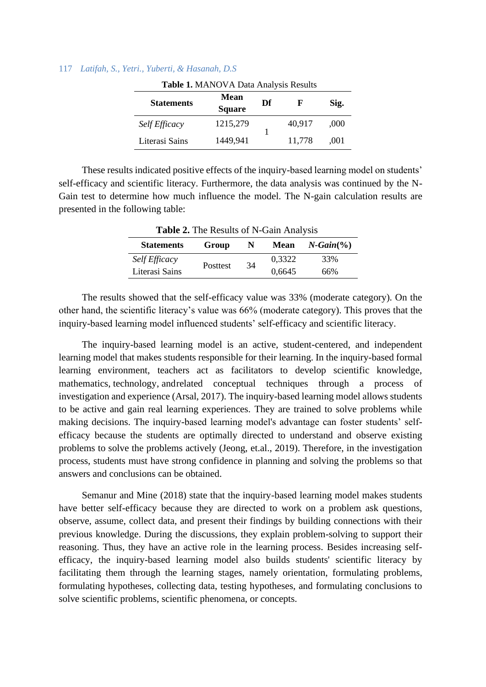#### 117 *Latifah, S., Yetri., Yuberti, & Hasanah, D.S*

| Table 1. MANOVA Data Analysis Results |                              |    |        |      |  |  |
|---------------------------------------|------------------------------|----|--------|------|--|--|
| <b>Statements</b>                     | <b>Mean</b><br><b>Square</b> | Df | F      | Sig. |  |  |
| Self Efficacy                         | 1215,279                     |    | 40,917 | ,000 |  |  |
| Literasi Sains                        | 1449,941                     |    | 11,778 | .001 |  |  |

These results indicated positive effects of the inquiry-based learning model on students' self-efficacy and scientific literacy. Furthermore, the data analysis was continued by the N-Gain test to determine how much influence the model. The N-gain calculation results are presented in the following table:

| Table 2. The Results of N-Gain Analysis |                 |    |             |                      |  |
|-----------------------------------------|-----------------|----|-------------|----------------------|--|
| <b>Statements</b>                       | Group           | N  | <b>Mean</b> | $N\text{-}Gain(\% )$ |  |
| Self Efficacy                           | <b>Posttest</b> | 34 | 0.3322      | 33%                  |  |
| Literasi Sains                          |                 |    | 0,6645      | 66%                  |  |

The results showed that the self-efficacy value was 33% (moderate category). On the other hand, the scientific literacy's value was 66% (moderate category). This proves that the inquiry-based learning model influenced students' self-efficacy and scientific literacy.

The inquiry-based learning model is an active, student-centered, and independent learning model that makes students responsible for their learning. In the inquiry-based formal learning environment, teachers act as facilitators to develop scientific knowledge, mathematics, technology, andrelated conceptual techniques through a process of investigation and experience (Arsal, 2017). The inquiry-based learning model allows students to be active and gain real learning experiences. They are trained to solve problems while making decisions. The inquiry-based learning model's advantage can foster students' selfefficacy because the students are optimally directed to understand and observe existing problems to solve the problems actively (Jeong, et.al., 2019). Therefore, in the investigation process, students must have strong confidence in planning and solving the problems so that answers and conclusions can be obtained.

Semanur and Mine (2018) state that the inquiry-based learning model makes students have better self-efficacy because they are directed to work on a problem ask questions, observe, assume, collect data, and present their findings by building connections with their previous knowledge. During the discussions, they explain problem-solving to support their reasoning. Thus, they have an active role in the learning process. Besides increasing selfefficacy, the inquiry-based learning model also builds students' scientific literacy by facilitating them through the learning stages, namely orientation, formulating problems, formulating hypotheses, collecting data, testing hypotheses, and formulating conclusions to solve scientific problems, scientific phenomena, or concepts.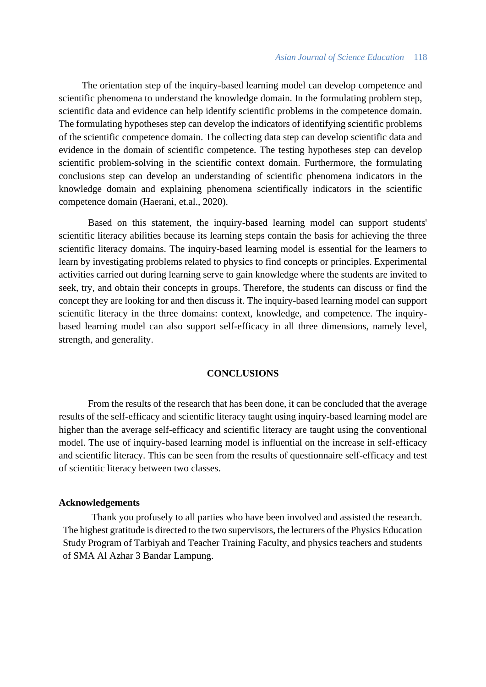The orientation step of the inquiry-based learning model can develop competence and scientific phenomena to understand the knowledge domain. In the formulating problem step, scientific data and evidence can help identify scientific problems in the competence domain. The formulating hypotheses step can develop the indicators of identifying scientific problems of the scientific competence domain. The collecting data step can develop scientific data and evidence in the domain of scientific competence. The testing hypotheses step can develop scientific problem-solving in the scientific context domain. Furthermore, the formulating conclusions step can develop an understanding of scientific phenomena indicators in the knowledge domain and explaining phenomena scientifically indicators in the scientific competence domain (Haerani, et.al., 2020).

Based on this statement, the inquiry-based learning model can support students' scientific literacy abilities because its learning steps contain the basis for achieving the three scientific literacy domains. The inquiry-based learning model is essential for the learners to learn by investigating problems related to physics to find concepts or principles. Experimental activities carried out during learning serve to gain knowledge where the students are invited to seek, try, and obtain their concepts in groups. Therefore, the students can discuss or find the concept they are looking for and then discuss it. The inquiry-based learning model can support scientific literacy in the three domains: context, knowledge, and competence. The inquirybased learning model can also support self-efficacy in all three dimensions, namely level, strength, and generality.

## **CONCLUSIONS**

From the results of the research that has been done, it can be concluded that the average results of the self-efficacy and scientific literacy taught using inquiry-based learning model are higher than the average self-efficacy and scientific literacy are taught using the conventional model. The use of inquiry-based learning model is influential on the increase in self-efficacy and scientific literacy. This can be seen from the results of questionnaire self-efficacy and test of scientitic literacy between two classes.

#### **Acknowledgements**

Thank you profusely to all parties who have been involved and assisted the research. The highest gratitude is directed to the two supervisors, the lecturers of the Physics Education Study Program of Tarbiyah and Teacher Training Faculty, and physics teachers and students of SMA Al Azhar 3 Bandar Lampung.